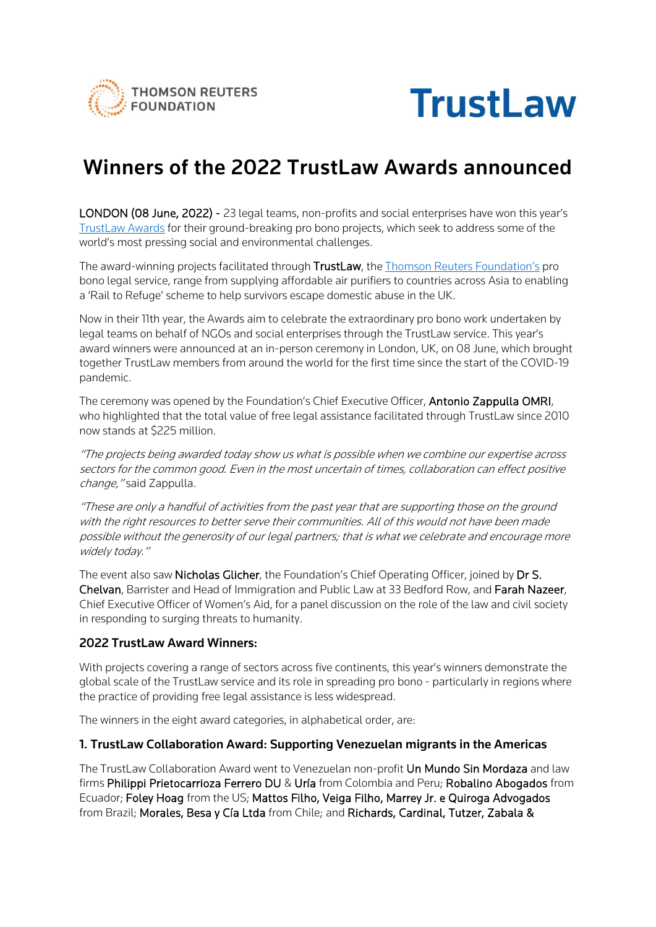



# Winners of the 2022 TrustLaw Awards announced

LONDON (08 June, 2022) - 23 legal teams, non-profits and social enterprises have won this year's [TrustLaw Awards](https://www.trust.org/trustlaw/awards/2022) for their ground-breaking pro bono projects, which seek to address some of the world's most pressing social and environmental challenges.

The award-winning projects facilitated through TrustLaw, the [Thomson Reuters Foundation's](https://www.trust.org/) pro bono legal service, range from supplying affordable air purifiers to countries across Asia to enabling a 'Rail to Refuge' scheme to help survivors escape domestic abuse in the UK.

Now in their 11th year, the Awards aim to celebrate the extraordinary pro bono work undertaken by legal teams on behalf of NGOs and social enterprises through the TrustLaw service. This year's award winners were announced at an in-person ceremony in London, UK, on 08 June, which brought together TrustLaw members from around the world for the first time since the start of the COVID-19 pandemic.

The ceremony was opened by the Foundation's Chief Executive Officer, Antonio Zappulla OMRI, who highlighted that the total value of free legal assistance facilitated through TrustLaw since 2010 now stands at \$225 million.

"The projects being awarded today show us what is possible when we combine our expertise across sectors for the common good. Even in the most uncertain of times, collaboration can effect positive change, "said Zappulla.

"These are only a handful of activities from the past year that are supporting those on the ground with the right resources to better serve their communities. All of this would not have been made possible without the generosity of our legal partners; that is what we celebrate and encourage more widely today."

The event also saw **Nicholas Glicher**, the Foundation's Chief Operating Officer, joined by **Dr S.** Chelvan, Barrister and Head of Immigration and Public Law at 33 Bedford Row, and Farah Nazeer, Chief Executive Officer of Women's Aid, for a panel discussion on the role of the law and civil society in responding to surging threats to humanity.

#### 2022 TrustLaw Award Winners:

With projects covering a range of sectors across five continents, this year's winners demonstrate the global scale of the TrustLaw service and its role in spreading pro bono - particularly in regions where the practice of providing free legal assistance is less widespread.

The winners in the eight award categories, in alphabetical order, are:

#### 1. TrustLaw Collaboration Award: Supporting Venezuelan migrants in the Americas

The TrustLaw Collaboration Award went to Venezuelan non-profit Un Mundo Sin Mordaza and law firms Philippi Prietocarrioza Ferrero DU & Uría from Colombia and Peru; Robalino Abogados from Ecuador; Foley Hoag from the US; Mattos Filho, Veiga Filho, Marrey Jr. e Quiroga Advogados from Brazil; Morales, Besa y Cía Ltda from Chile; and Richards, Cardinal, Tutzer, Zabala &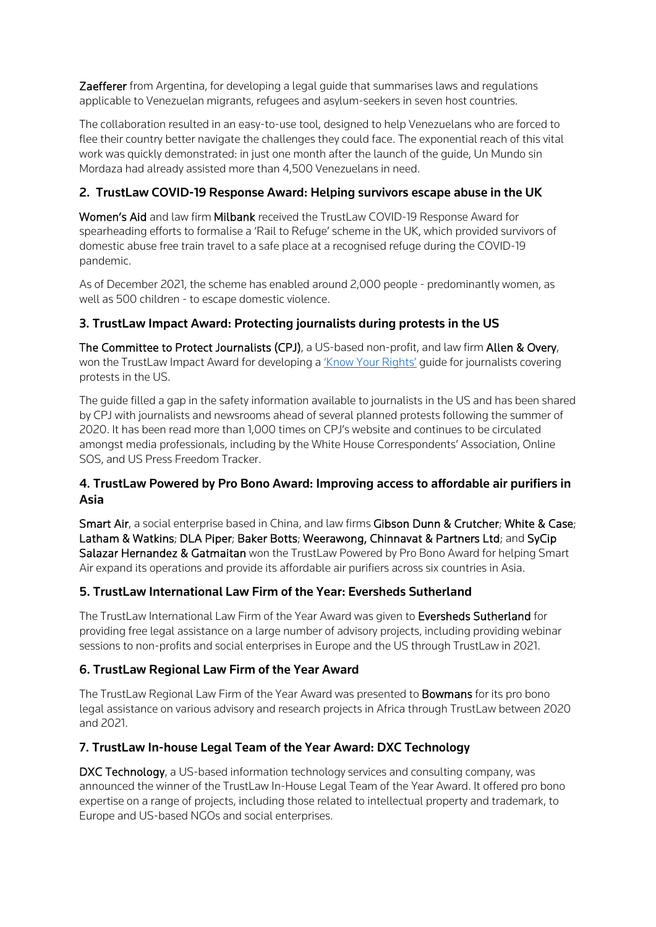**Zaefferer** from Argentina, for developing a legal quide that summarises laws and regulations applicable to Venezuelan migrants, refugees and asylum-seekers in seven host countries.

The collaboration resulted in an easy-to-use tool, designed to help Venezuelans who are forced to flee their country better navigate the challenges they could face. The exponential reach of this vital work was quickly demonstrated: in just one month after the launch of the guide, Un Mundo sin Mordaza had already assisted more than 4,500 Venezuelans in need.

# 2. TrustLaw COVID-19 Response Award: Helping survivors escape abuse in the UK

Women's Aid and law firm Milbank received the TrustLaw COVID-19 Response Award for spearheading efforts to formalise a 'Rail to Refuge' scheme in the UK, which provided survivors of domestic abuse free train travel to a safe place at a recognised refuge during the COVID-19 pandemic.

As of December 2021, the scheme has enabled around 2,000 people - predominantly women, as well as 500 children - to escape domestic violence.

# 3. TrustLaw Impact Award: Protecting journalists during protests in the US

The Committee to Protect Journalists (CPJ), a US-based non-profit, and law firm Allen & Overy, won the TrustLaw Impact Award for developing a ['Know Your Rights'](https://www.trust.org/i/?id=9d2fc699-5169-44c5-b83b-ef1495468379) guide for journalists covering protests in the US.

The guide filled a gap in the safety information available to journalists in the US and has been shared by CPJ with journalists and newsrooms ahead of several planned protests following the summer of 2020. It has been read more than 1,000 times on CPJ's website and continues to be circulated amongst media professionals, including by the White House Correspondents' Association, Online SOS, and US Press Freedom Tracker.

## 4. TrustLaw Powered by Pro Bono Award: Improving access to affordable air purifiers in Asia

Smart Air, a social enterprise based in China, and law firms Gibson Dunn & Crutcher; White & Case; Latham & Watkins; DLA Piper; Baker Botts; Weerawong, Chinnavat & Partners Ltd; and SyCip Salazar Hernandez & Gatmaitan won the TrustLaw Powered by Pro Bono Award for helping Smart Air expand its operations and provide its affordable air purifiers across six countries in Asia.

## 5. TrustLaw International Law Firm of the Year: Eversheds Sutherland

The TrustLaw International Law Firm of the Year Award was given to Eversheds Sutherland for providing free legal assistance on a large number of advisory projects, including providing webinar sessions to non-profits and social enterprises in Europe and the US through TrustLaw in 2021.

## 6. TrustLaw Regional Law Firm of the Year Award

The TrustLaw Regional Law Firm of the Year Award was presented to **Bowmans** for its pro bono legal assistance on various advisory and research projects in Africa through TrustLaw between 2020 and 2021.

## 7. TrustLaw In-house Legal Team of the Year Award: DXC Technology

DXC Technology, a US-based information technology services and consulting company, was announced the winner of the TrustLaw In-House Legal Team of the Year Award. It offered pro bono expertise on a range of projects, including those related to intellectual property and trademark, to Europe and US-based NGOs and social enterprises.